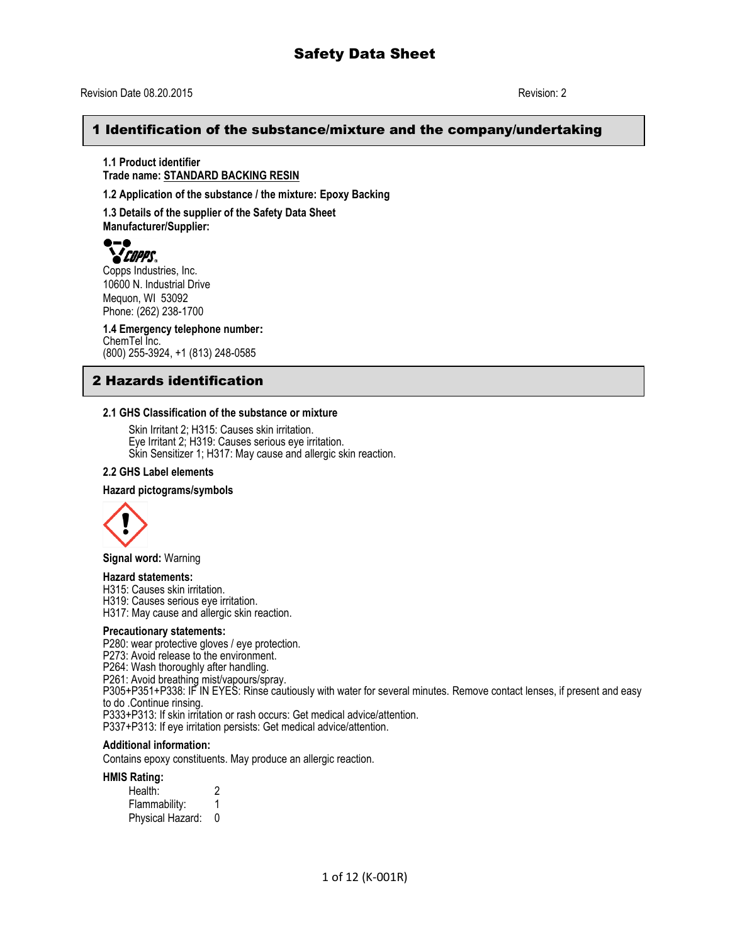#### 1 Identification of the substance/mixture and the company/undertaking

**1.1 Product identifier Trade name: STANDARD BACKING RESIN**

**1.2 Application of the substance / the mixture: Epoxy Backing**

**1.3 Details of the supplier of the Safety Data Sheet Manufacturer/Supplier:**

# *COPPS.*

Copps Industries, Inc. 10600 N. Industrial Drive Mequon, WI 53092 Phone: (262) 238-1700

**1.4 Emergency telephone number:** ChemTel Inc. (800) 255-3924, +1 (813) 248-0585

### 2 Hazards identification

#### **2.1 GHS Classification of the substance or mixture**

Skin Irritant 2; H315: Causes skin irritation. Eye Irritant 2; H319: Causes serious eye irritation. Skin Sensitizer 1; H317: May cause and allergic skin reaction.

#### **2.2 GHS Label elements**

#### **Hazard pictograms/symbols**



**Signal word:** Warning

#### **Hazard statements:**

H315: Causes skin irritation.

H319: Causes serious eye irritation.

H317: May cause and allergic skin reaction.

#### **Precautionary statements:**

P280: wear protective gloves / eye protection.

P273: Avoid release to the environment.

P264: Wash thoroughly after handling.

P261: Avoid breathing mist/vapours/spray.

P305+P351+P338: IF IN EYES: Rinse cautiously with water for several minutes. Remove contact lenses, if present and easy to do .Continue rinsing.

P333+P313: If skin irritation or rash occurs: Get medical advice/attention.

P337+P313: If eye irritation persists: Get medical advice/attention.

#### **Additional information:**

Contains epoxy constituents. May produce an allergic reaction.

**HMIS Rating:** 

| Health:          |  |  |  |
|------------------|--|--|--|
| Flammability:    |  |  |  |
| Physical Hazard: |  |  |  |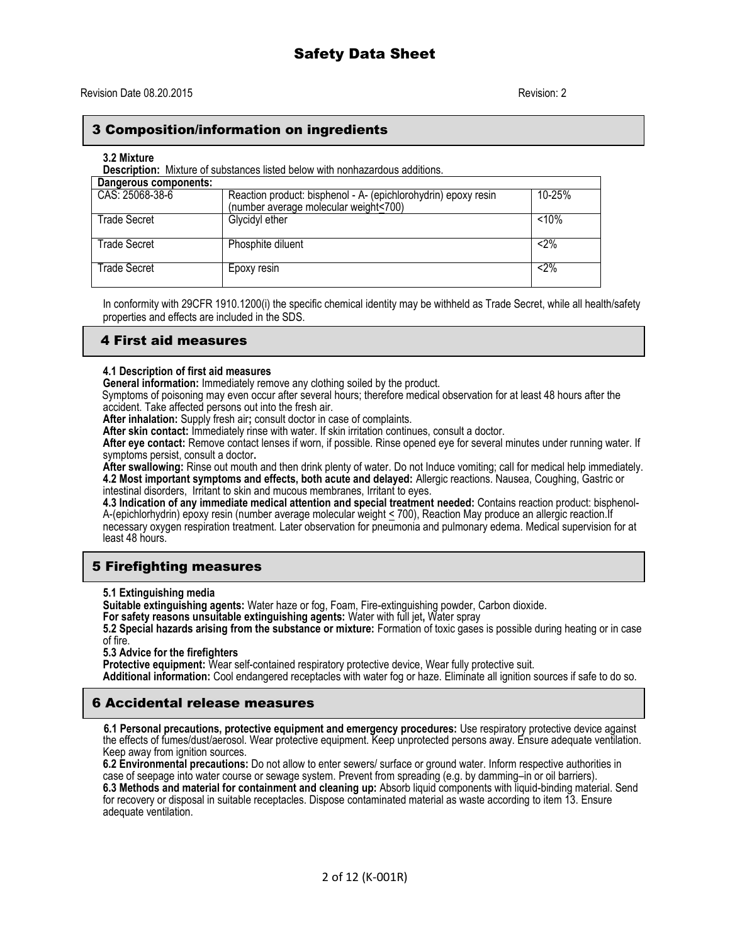#### 3 Composition/information on ingredients

#### **3.2 Mixture**

**Description:** Mixture of substances listed below with nonhazardous additions.

| Dangerous components: |                                                                |          |
|-----------------------|----------------------------------------------------------------|----------|
| CAS: 25068-38-6       | Reaction product: bisphenol - A- (epichlorohydrin) epoxy resin | 10-25%   |
|                       | (number average molecular weight<700)                          |          |
| <b>Trade Secret</b>   | Glycidyl ether                                                 | $< 10\%$ |
|                       |                                                                |          |
| Trade Secret          | Phosphite diluent                                              | $< 2\%$  |
| <b>Trade Secret</b>   | Epoxy resin                                                    | $< 2\%$  |

In conformity with 29CFR 1910.1200(i) the specific chemical identity may be withheld as Trade Secret, while all health/safety properties and effects are included in the SDS.

#### 4 First aid measures

#### **4.1 Description of first aid measures**

**General information:** Immediately remove any clothing soiled by the product.

Symptoms of poisoning may even occur after several hours; therefore medical observation for at least 48 hours after the accident. Take affected persons out into the fresh air.

**After inhalation:** Supply fresh air**;** consult doctor in case of complaints.

**After skin contact:** Immediately rinse with water. If skin irritation continues, consult a doctor.

**After eye contact:** Remove contact lenses if worn, if possible. Rinse opened eye for several minutes under running water. If symptoms persist, consult a doctor**.**

**After swallowing:** Rinse out mouth and then drink plenty of water. Do not Induce vomiting; call for medical help immediately. **4.2 Most important symptoms and effects, both acute and delayed:** Allergic reactions. Nausea, Coughing, Gastric or intestinal disorders, Irritant to skin and mucous membranes, Irritant to eyes.

**4.3 Indication of any immediate medical attention and special treatment needed:** Contains reaction product: bisphenol-A-(epichlorhydrin) epoxy resin (number average molecular weight < 700), Reaction May produce an allergic reaction.If necessary oxygen respiration treatment. Later observation for pneumonia and pulmonary edema. Medical supervision for at least 48 hours.

#### 5 Firefighting measures

**5.1 Extinguishing media**

**Suitable extinguishing agents:** Water haze or fog, Foam, Fire-extinguishing powder, Carbon dioxide.

**For safety reasons unsuitable extinguishing agents:** Water with full jet**,** Water spray

**5.2 Special hazards arising from the substance or mixture:** Formation of toxic gases is possible during heating or in case of fire.

**5.3 Advice for the firefighters**

**Protective equipment:** Wear self-contained respiratory protective device, Wear fully protective suit.

**Additional information:** Cool endangered receptacles with water fog or haze. Eliminate all ignition sources if safe to do so.

#### 6 Accidental release measures

 **6.1 Personal precautions, protective equipment and emergency procedures:** Use respiratory protective device against the effects of fumes/dust/aerosol. Wear protective equipment. Keep unprotected persons away. Ensure adequate ventilation. Keep away from ignition sources.

**6.2 Environmental precautions:** Do not allow to enter sewers/ surface or ground water. Inform respective authorities in case of seepage into water course or sewage system. Prevent from spreading (e.g. by damming–in or oil barriers). **6.3 Methods and material for containment and cleaning up:** Absorb liquid components with liquid-binding material. Send for recovery or disposal in suitable receptacles. Dispose contaminated material as waste according to item 13. Ensure adequate ventilation.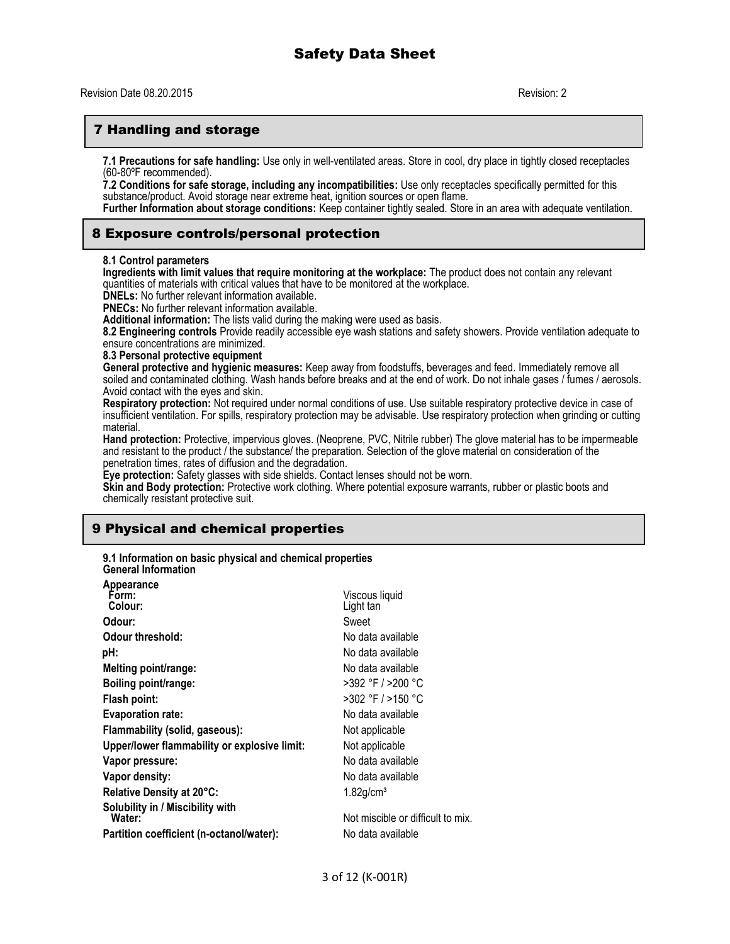#### 7 Handling and storage

**7.1 Precautions for safe handling:** Use only in well-ventilated areas. Store in cool, dry place in tightly closed receptacles (60-80ºF recommended).

**7.2 Conditions for safe storage, including any incompatibilities:** Use only receptacles specifically permitted for this substance/product. Avoid storage near extreme heat, ignition sources or open flame.

**Further Information about storage conditions:** Keep container tightly sealed. Store in an area with adequate ventilation.

#### 8 Exposure controls/personal protection

#### **8.1 Control parameters**

**Ingredients with limit values that require monitoring at the workplace:** The product does not contain any relevant quantities of materials with critical values that have to be monitored at the workplace.

**DNELs:** No further relevant information available.

**PNECs:** No further relevant information available.

**Additional information:** The lists valid during the making were used as basis.

**8.2 Engineering controls** Provide readily accessible eye wash stations and safety showers. Provide ventilation adequate to ensure concentrations are minimized.

**8.3 Personal protective equipment**

**General protective and hygienic measures:** Keep away from foodstuffs, beverages and feed. Immediately remove all soiled and contaminated clothing. Wash hands before breaks and at the end of work. Do not inhale gases / fumes / aerosols. Avoid contact with the eyes and skin.

**Respiratory protection:** Not required under normal conditions of use. Use suitable respiratory protective device in case of insufficient ventilation. For spills, respiratory protection may be advisable. Use respiratory protection when grinding or cutting material.

**Hand protection:** Protective, impervious gloves. (Neoprene, PVC, Nitrile rubber) The glove material has to be impermeable and resistant to the product / the substance/ the preparation. Selection of the glove material on consideration of the penetration times, rates of diffusion and the degradation.

**Eye protection:** Safety glasses with side shields. Contact lenses should not be worn.

**Skin and Body protection:** Protective work clothing. Where potential exposure warrants, rubber or plastic boots and chemically resistant protective suit.

#### 9 Physical and chemical properties

**9.1 Information on basic physical and chemical properties General Information**

| Appearance               |                                              |                                   |
|--------------------------|----------------------------------------------|-----------------------------------|
| Form:                    |                                              | Viscous liquid                    |
| Colour:                  |                                              | Light tan                         |
| Odour:                   |                                              | Sweet                             |
| Odour threshold:         |                                              | No data available                 |
| pH:                      |                                              | No data available                 |
|                          | Melting point/range:                         | No data available                 |
|                          | Boiling point/range:                         | >392 °F / >200 °C                 |
| Flash point:             |                                              | >302 °F / >150 °C                 |
| <b>Evaporation rate:</b> |                                              | No data available                 |
|                          | Flammability (solid, gaseous):               | Not applicable                    |
|                          | Upper/lower flammability or explosive limit: | Not applicable                    |
| Vapor pressure:          |                                              | No data available                 |
| Vapor density:           |                                              | No data available                 |
|                          | Relative Density at 20°C:                    | $1.82$ g/cm <sup>3</sup>          |
| Water:                   | Solubility in / Miscibility with             | Not miscible or difficult to mix. |
|                          | Partition coefficient (n-octanol/water):     | No data available                 |
|                          |                                              |                                   |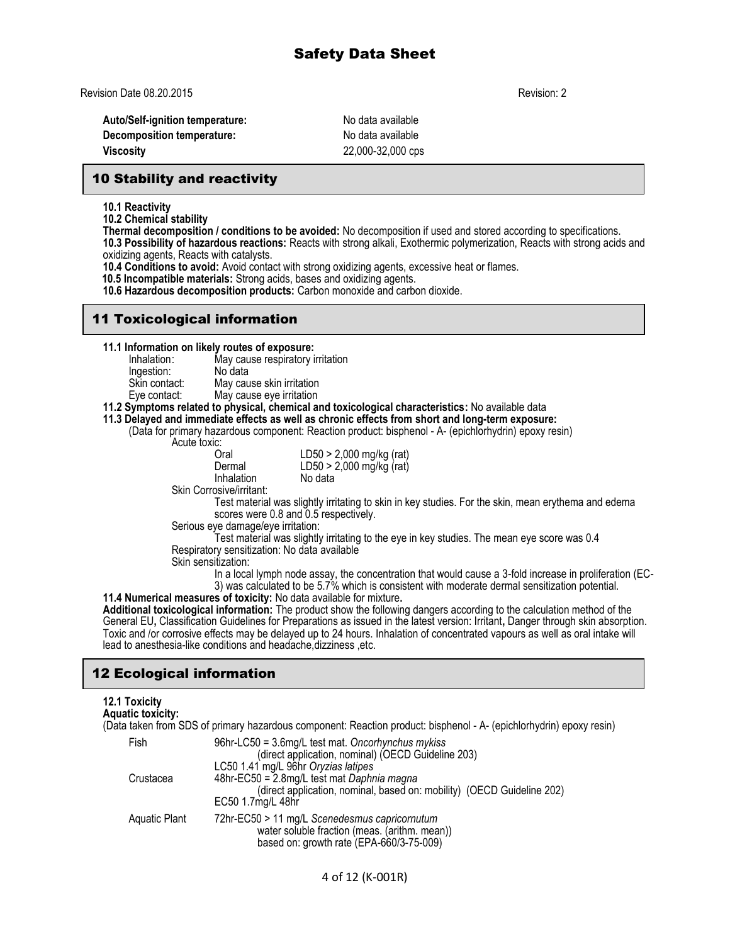Revision Date 08.20.2015 Revision: 2

Auto/Self-ignition temperature: No data available **Decomposition temperature:** No data available **Viscosity** 22,000-32,000 cps

#### 10 Stability and reactivity

**10.1 Reactivity**

**10.2 Chemical stability**

**Thermal decomposition / conditions to be avoided:** No decomposition if used and stored according to specifications.

**10.3 Possibility of hazardous reactions:** Reacts with strong alkali, Exothermic polymerization, Reacts with strong acids and oxidizing agents, Reacts with catalysts.

**10.4 Conditions to avoid:** Avoid contact with strong oxidizing agents, excessive heat or flames.

 **10.5 Incompatible materials:** Strong acids, bases and oxidizing agents.

**10.6 Hazardous decomposition products:** Carbon monoxide and carbon dioxide.

#### 11 Toxicological information

**11.1 Information on likely routes of exposure:**

May cause respiratory irritation Ingestion: No data<br>Skin contact: May cau Skin contact: May cause skin irritation<br>Eye contact: May cause eye irritation

May cause eye irritation

#### **11.2 Symptoms related to physical, chemical and toxicological characteristics:** No available data

**11.3 Delayed and immediate effects as well as chronic effects from short and long-term exposure:** 

(Data for primary hazardous component: Reaction product: bisphenol - A- (epichlorhydrin) epoxy resin)

Acute toxic:<br>Oral

| ັ.<br>Oral | $LD50 > 2,000$ mg/kg (rat) |
|------------|----------------------------|
| Dermal     | LD50 > 2,000 mg/kg (rat)   |
| Inhalation | No data                    |

Skin Corrosive/irritant:

Test material was slightly irritating to skin in key studies. For the skin, mean erythema and edema scores were 0.8 and 0.5 respectively.

Serious eye damage/eye irritation:

lead to anesthesia-like conditions and headache,dizziness ,etc.

Test material was slightly irritating to the eye in key studies. The mean eye score was 0.4 Respiratory sensitization: No data available

Skin sensitization:

In a local lymph node assay, the concentration that would cause a 3-fold increase in proliferation (EC-3) was calculated to be 5.7% which is consistent with moderate dermal sensitization potential.

**11.4 Numerical measures of toxicity:** No data available for mixture**. Additional toxicological information:** The product show the following dangers according to the calculation method of the General EU**,** Classification Guidelines for Preparations as issued in the latest version: Irritant**,** Danger through skin absorption. Toxic and /or corrosive effects may be delayed up to 24 hours. Inhalation of concentrated vapours as well as oral intake will

## 12 Ecological information

#### **12.1 Toxicity Aquatic toxicity:**

(Data taken from SDS of primary hazardous component: Reaction product: bisphenol - A- (epichlorhydrin) epoxy resin)

| 96hr-LC50 = 3.6mg/L test mat. Oncorhynchus mykiss                      |
|------------------------------------------------------------------------|
| (direct application, nominal) (OECD Guideline 203)                     |
| LC50 1.41 mg/L 96hr Oryzias latipes                                    |
| 48hr-EC50 = 2.8mg/L test mat Daphnia magna                             |
| (direct application, nominal, based on: mobility) (OECD Guideline 202) |
| EC50 1.7mg/L 48hr                                                      |
| 72hr-EC50 > 11 mg/L Scenedesmus capricornutum                          |
| water soluble fraction (meas. (arithm. mean))                          |
| based on: growth rate (EPA-660/3-75-009)                               |
|                                                                        |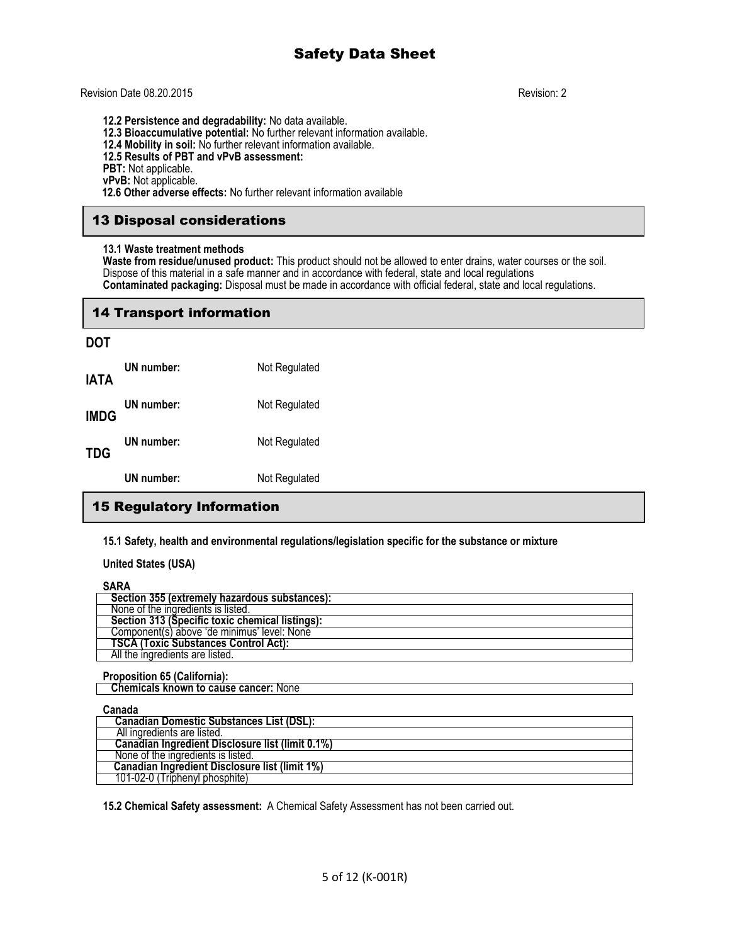#### Revision Date 08.20.2015 Revision: 2

**12.2 Persistence and degradability:** No data available. **12.3 Bioaccumulative potential:** No further relevant information available. **12.4 Mobility in soil:** No further relevant information available. **12.5 Results of PBT and vPvB assessment: PBT:** Not applicable. **vPvB:** Not applicable.

 **12.6 Other adverse effects:** No further relevant information available

### 13 Disposal considerations

#### **13.1 Waste treatment methods**

**Waste from residue/unused product:** This product should not be allowed to enter drains, water courses or the soil. Dispose of this material in a safe manner and in accordance with federal, state and local regulations **Contaminated packaging:** Disposal must be made in accordance with official federal, state and local regulations.

#### 14 Transport information

#### **DOT**

|             | UN number: | Not Regulated |
|-------------|------------|---------------|
| TDG         | UN number: | Not Regulated |
| <b>IMDG</b> | UN number: | Not Regulated |
| IATA        | UN number: | Not Regulated |

#### 15 Regulatory Information

**15.1 Safety, health and environmental regulations/legislation specific for the substance or mixture**

#### **United States (USA)**

#### **SARA**

| ------                                          |
|-------------------------------------------------|
| Section 355 (extremely hazardous substances):   |
| None of the ingredients is listed.              |
| Section 313 (Specific toxic chemical listings): |
| Component(s) above 'de minimus' level: None     |
| <b>TSCA (Toxic Substances Control Act):</b>     |
| All the ingredients are listed.                 |
|                                                 |

#### **Proposition 65 (California):**

 **Chemicals known to cause cancer:** None

#### **Canada**

| Canadian Domestic Substances List (DSL):                                                                  |  |
|-----------------------------------------------------------------------------------------------------------|--|
| All ingredients are listed.                                                                               |  |
|                                                                                                           |  |
| None of the ingredients is listed.                                                                        |  |
|                                                                                                           |  |
| 101-02-0 (Triphenyl phosphite)                                                                            |  |
| Canadian Ingredient Disclosure list (limit 0.1%)<br><b>Canadian Ingredient Disclosure list (limit 1%)</b> |  |

**15.2 Chemical Safety assessment:** A Chemical Safety Assessment has not been carried out.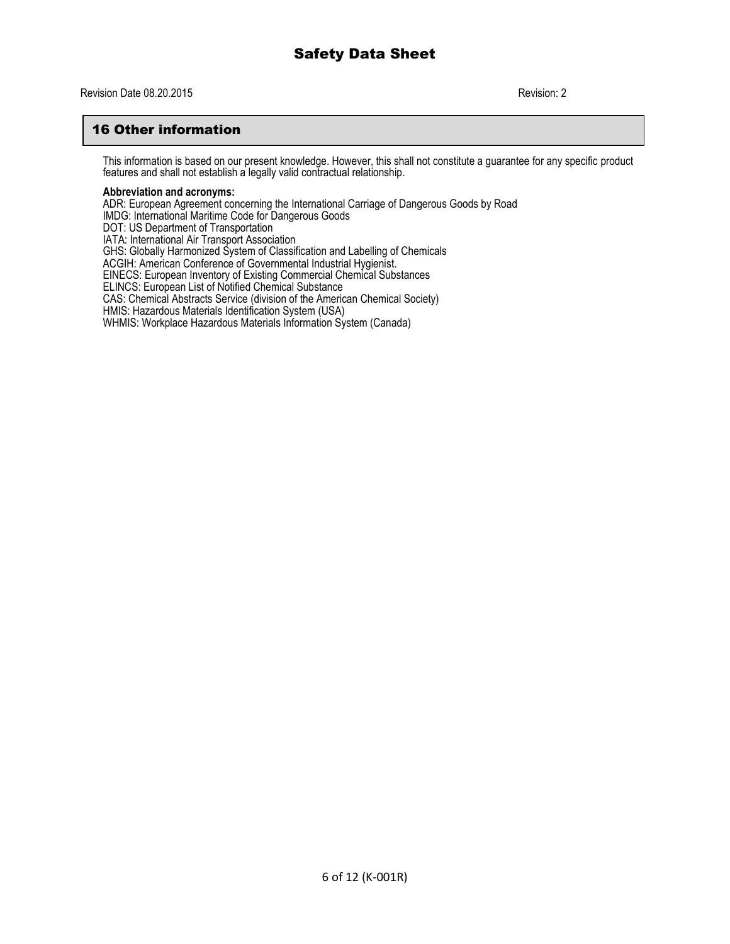#### Revision Date 08.20.2015 Revision: 2

#### 16 Other information

This information is based on our present knowledge. However, this shall not constitute a guarantee for any specific product features and shall not establish a legally valid contractual relationship.

#### **Abbreviation and acronyms:**

ADR: European Agreement concerning the International Carriage of Dangerous Goods by Road IMDG: International Maritime Code for Dangerous Goods DOT: US Department of Transportation IATA: International Air Transport Association GHS: Globally Harmonized System of Classification and Labelling of Chemicals ACGIH: American Conference of Governmental Industrial Hygienist. EINECS: European Inventory of Existing Commercial Chemical Substances ELINCS: European List of Notified Chemical Substance CAS: Chemical Abstracts Service (division of the American Chemical Society) HMIS: Hazardous Materials Identification System (USA) WHMIS: Workplace Hazardous Materials Information System (Canada)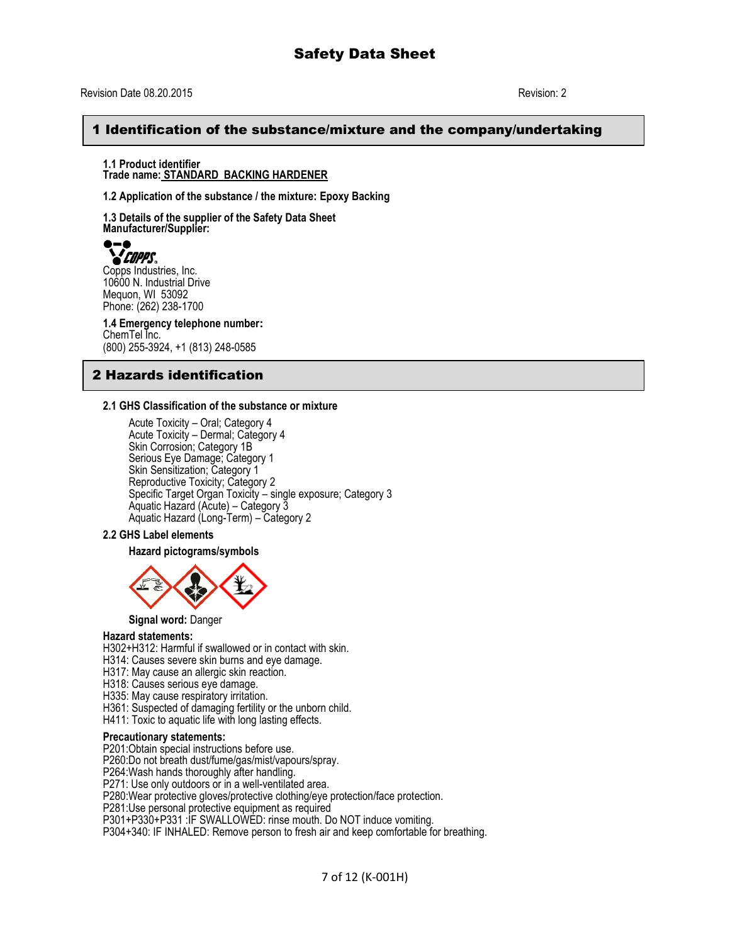#### 1 Identification of the substance/mixture and the company/undertaking

**1.1 Product identifier Trade name: STANDARD BACKING HARDENER**

**1.2 Application of the substance / the mixture: Epoxy Backing**

**1.3 Details of the supplier of the Safety Data Sheet Manufacturer/Supplier:**

*COPPS*.

Copps Industries, Inc. 10600 N. Industrial Drive Mequon, WI 53092 Phone: (262) 238-1700

**1.4 Emergency telephone number:** ChemTel Inc. (800) 255-3924, +1 (813) 248-0585

#### 2 Hazards identification

#### **2.1 GHS Classification of the substance or mixture**

Acute Toxicity – Oral; Category 4 Acute Toxicity – Dermal; Category 4 Skin Corrosion; Category 1B Serious Eye Damage; Category 1 Skin Sensitization; Category 1 Reproductive Toxicity; Category 2 Specific Target Organ Toxicity - single exposure; Category 3 Aquatic Hazard (Acute) – Category 3 Aquatic Hazard (Long-Term) – Category 2

#### **2.2 GHS Label elements**

**Hazard pictograms/symbols**



#### **Signal word:** Danger

#### **Hazard statements:**

H302+H312: Harmful if swallowed or in contact with skin.

- H314: Causes severe skin burns and eye damage.
- H317: May cause an allergic skin reaction.
- H318: Causes serious eye damage.
- H335: May cause respiratory irritation.
- H361: Suspected of damaging fertility or the unborn child.
- H411: Toxic to aquatic life with long lasting effects.

#### **Precautionary statements:**

P201:Obtain special instructions before use.

P260:Do not breath dust/fume/gas/mist/vapours/spray.

P264:Wash hands thoroughly after handling.

P271: Use only outdoors or in a well-ventilated area.

P280:Wear protective gloves/protective clothing/eye protection/face protection.

P281:Use personal protective equipment as required

P301+P330+P331 :IF SWALLOWED: rinse mouth. Do NOT induce vomiting.

P304+340: IF INHALED: Remove person to fresh air and keep comfortable for breathing.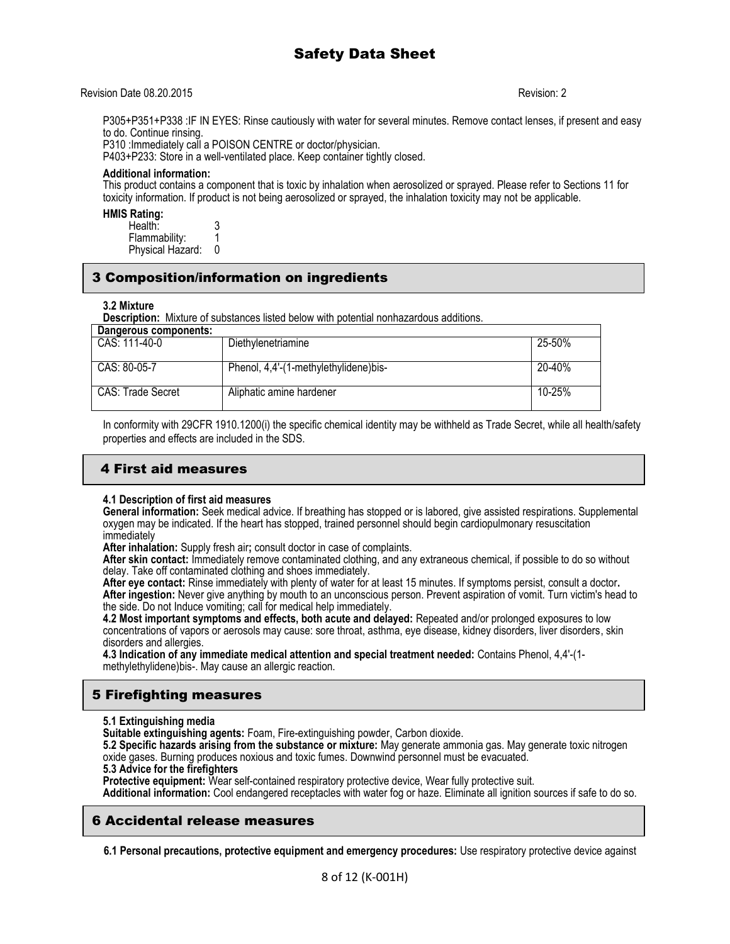#### Revision Date 08.20.2015 Revision: 2

P305+P351+P338 :IF IN EYES: Rinse cautiously with water for several minutes. Remove contact lenses, if present and easy to do. Continue rinsing.

P310 :Immediately call a POISON CENTRE or doctor/physician.

P403+P233: Store in a well-ventilated place. Keep container tightly closed.

#### **Additional information:**

This product contains a component that is toxic by inhalation when aerosolized or sprayed. Please refer to Sections 11 for toxicity information. If product is not being aerosolized or sprayed, the inhalation toxicity may not be applicable.

#### **HMIS Rating:**

| Health:          |  |
|------------------|--|
| Flammability:    |  |
| Physical Hazard: |  |

#### 3 Composition/information on ingredients

#### **3.2 Mixture**

**Description:** Mixture of substances listed below with potential nonhazardous additions.

| Dangerous components: |                                       |        |
|-----------------------|---------------------------------------|--------|
| CAS: 111-40-0         | Diethylenetriamine                    | 25-50% |
| CAS: 80-05-7          | Phenol, 4,4'-(1-methylethylidene)bis- | 20-40% |
| CAS: Trade Secret     | Aliphatic amine hardener              | 10-25% |

In conformity with 29CFR 1910.1200(i) the specific chemical identity may be withheld as Trade Secret, while all health/safety properties and effects are included in the SDS.

#### 4 First aid measures

#### **4.1 Description of first aid measures**

**General information:** Seek medical advice. If breathing has stopped or is labored, give assisted respirations. Supplemental oxygen may be indicated. If the heart has stopped, trained personnel should begin cardiopulmonary resuscitation immediately

**After inhalation:** Supply fresh air**;** consult doctor in case of complaints.

**After skin contact:** Immediately remove contaminated clothing, and any extraneous chemical, if possible to do so without delay. Take off contaminated clothing and shoes immediately.

**After eye contact:** Rinse immediately with plenty of water for at least 15 minutes. If symptoms persist, consult a doctor**. After ingestion:** Never give anything by mouth to an unconscious person. Prevent aspiration of vomit. Turn victim's head to the side. Do not Induce vomiting; call for medical help immediately.

**4.2 Most important symptoms and effects, both acute and delayed:** Repeated and/or prolonged exposures to low concentrations of vapors or aerosols may cause: sore throat, asthma, eye disease, kidney disorders, liver disorders, skin disorders and allergies.

**4.3 Indication of any immediate medical attention and special treatment needed:** Contains Phenol, 4,4'-(1 methylethylidene)bis-. May cause an allergic reaction.

#### 5 Firefighting measures

#### **5.1 Extinguishing media**

**Suitable extinguishing agents:** Foam, Fire-extinguishing powder, Carbon dioxide.

**5.2 Specific hazards arising from the substance or mixture:** May generate ammonia gas. May generate toxic nitrogen oxide gases. Burning produces noxious and toxic fumes. Downwind personnel must be evacuated.

**5.3 Advice for the firefighters**

Protective equipment: Wear self-contained respiratory protective device, Wear fully protective suit.

**Additional information:** Cool endangered receptacles with water fog or haze. Eliminate all ignition sources if safe to do so.

#### 6 Accidental release measures

**6.1 Personal precautions, protective equipment and emergency procedures:** Use respiratory protective device against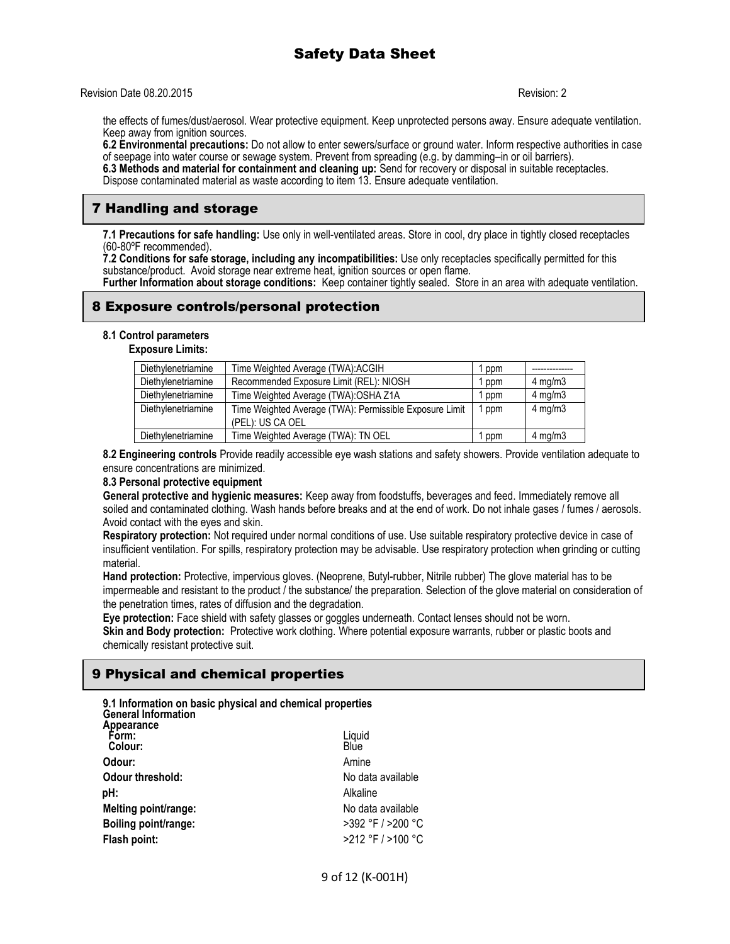Revision Date 08.20.2015 Revision: 2

the effects of fumes/dust/aerosol. Wear protective equipment. Keep unprotected persons away. Ensure adequate ventilation. Keep away from ignition sources.

**6.2 Environmental precautions:** Do not allow to enter sewers/surface or ground water. Inform respective authorities in case of seepage into water course or sewage system. Prevent from spreading (e.g. by damming–in or oil barriers).

**6.3 Methods and material for containment and cleaning up:** Send for recovery or disposal in suitable receptacles. Dispose contaminated material as waste according to item 13. Ensure adequate ventilation.

### 7 Handling and storage

**7.1 Precautions for safe handling:** Use only in well-ventilated areas. Store in cool, dry place in tightly closed receptacles (60-80ºF recommended).

**7.2 Conditions for safe storage, including any incompatibilities:** Use only receptacles specifically permitted for this substance/product. Avoid storage near extreme heat, ignition sources or open flame.

**Further Information about storage conditions:** Keep container tightly sealed. Store in an area with adequate ventilation.

#### 8 Exposure controls/personal protection

#### **8.1 Control parameters**

**Exposure Limits:**

| Diethylenetriamine | Time Weighted Average (TWA): ACGIH                      | ppm |                  |
|--------------------|---------------------------------------------------------|-----|------------------|
| Diethylenetriamine | Recommended Exposure Limit (REL): NIOSH                 | ppm | $4$ mg/m $3$     |
| Diethylenetriamine | Time Weighted Average (TWA): OSHA Z1A                   | ppm | $4$ mg/m $3$     |
| Diethylenetriamine | Time Weighted Average (TWA): Permissible Exposure Limit | ppm | $4 \text{ mg/m}$ |
|                    | (PEL): US CA OEL                                        |     |                  |
| Diethylenetriamine | Time Weighted Average (TWA): TN OEL                     | ppm | $4$ mg/m $3$     |

**8.2 Engineering controls** Provide readily accessible eye wash stations and safety showers. Provide ventilation adequate to ensure concentrations are minimized.

#### **8.3 Personal protective equipment**

**General protective and hygienic measures:** Keep away from foodstuffs, beverages and feed. Immediately remove all soiled and contaminated clothing. Wash hands before breaks and at the end of work. Do not inhale gases / fumes / aerosols. Avoid contact with the eyes and skin.

**Respiratory protection:** Not required under normal conditions of use. Use suitable respiratory protective device in case of insufficient ventilation. For spills, respiratory protection may be advisable. Use respiratory protection when grinding or cutting material.

**Hand protection:** Protective, impervious gloves. (Neoprene, Butyl-rubber, Nitrile rubber) The glove material has to be impermeable and resistant to the product / the substance/ the preparation. Selection of the glove material on consideration of the penetration times, rates of diffusion and the degradation.

**Eye protection:** Face shield with safety glasses or goggles underneath. Contact lenses should not be worn. **Skin and Body protection:** Protective work clothing. Where potential exposure warrants, rubber or plastic boots and chemically resistant protective suit.

### 9 Physical and chemical properties

| 9.1 Information on basic physical and chemical properties |
|-----------------------------------------------------------|
| Liquid<br>Blue                                            |
| Amine                                                     |
| No data available                                         |
| Alkaline                                                  |
| No data available                                         |
| >392 °F / >200 °C                                         |
| >212 °F / >100 °C                                         |
|                                                           |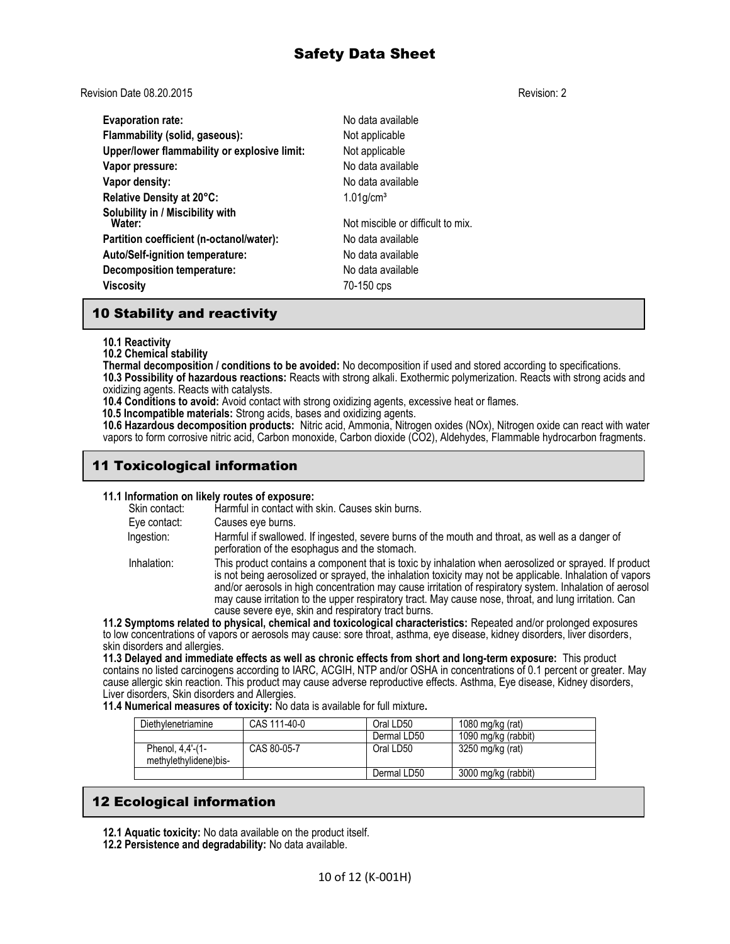Revision Date 08.20.2015 Revision: 2

**Evaporation rate:** No data available **Flammability (solid, gaseous):** Not applicable **Upper/lower flammability or explosive limit:** Not applicable **Vapor pressure:** No data available **Vapor density:** No data available **Relative Density at 20°C:** 1.01g/cm<sup>3</sup> **Solubility in / Miscibility with** Not miscible or difficult to mix. **Partition coefficient (n-octanol/water):** No data available **Auto/Self-ignition temperature:** No data available **Decomposition temperature:** No data available **Viscosity** 70-150 cps

#### 10 Stability and reactivity

#### **10.1 Reactivity**

**10.2 Chemical stability**

**Thermal decomposition / conditions to be avoided:** No decomposition if used and stored according to specifications.

**10.3 Possibility of hazardous reactions:** Reacts with strong alkali. Exothermic polymerization. Reacts with strong acids and oxidizing agents. Reacts with catalysts.

**10.4 Conditions to avoid:** Avoid contact with strong oxidizing agents, excessive heat or flames.

 **10.5 Incompatible materials:** Strong acids, bases and oxidizing agents.

**10.6 Hazardous decomposition products:** Nitric acid, Ammonia, Nitrogen oxides (NOx), Nitrogen oxide can react with water vapors to form corrosive nitric acid, Carbon monoxide, Carbon dioxide (CO2), Aldehydes, Flammable hydrocarbon fragments.

## 11 Toxicological information

#### **11.1 Information on likely routes of exposure:**

Skin contact: Harmful in contact with skin. Causes skin burns. Eye contact: Causes eye burns. Ingestion: Harmful if swallowed. If ingested, severe burns of the mouth and throat, as well as a danger of perforation of the esophagus and the stomach. Inhalation: This product contains a component that is toxic by inhalation when aerosolized or sprayed. If product is not being aerosolized or sprayed, the inhalation toxicity may not be applicable. Inhalation of vapors and/or aerosols in high concentration may cause irritation of respiratory system. Inhalation of aerosol may cause irritation to the upper respiratory tract. May cause nose, throat, and lung irritation. Can cause severe eye, skin and respiratory tract burns.

**11.2 Symptoms related to physical, chemical and toxicological characteristics:** Repeated and/or prolonged exposures to low concentrations of vapors or aerosols may cause: sore throat, asthma, eye disease, kidney disorders, liver disorders, skin disorders and allergies.

**11.3 Delayed and immediate effects as well as chronic effects from short and long-term exposure:** This product contains no listed carcinogens according to IARC, ACGIH, NTP and/or OSHA in concentrations of 0.1 percent or greater. May cause allergic skin reaction. This product may cause adverse reproductive effects. Asthma, Eye disease, Kidney disorders, Liver disorders, Skin disorders and Allergies.

**11.4 Numerical measures of toxicity:** No data is available for full mixture**.** 

| Diethylenetriamine                        | CAS 111-40-0 | Oral LD50   | 1080 mg/kg (rat)    |
|-------------------------------------------|--------------|-------------|---------------------|
|                                           |              | Dermal LD50 | 1090 mg/kg (rabbit) |
| Phenol, 4,4'-(1-<br>methylethylidene)bis- | CAS 80-05-7  | Oral LD50   | 3250 mg/kg (rat)    |
|                                           |              | Dermal LD50 | 3000 mg/kg (rabbit) |

### 12 Ecological information

**12.1 Aquatic toxicity:** No data available on the product itself.

**12.2 Persistence and degradability:** No data available.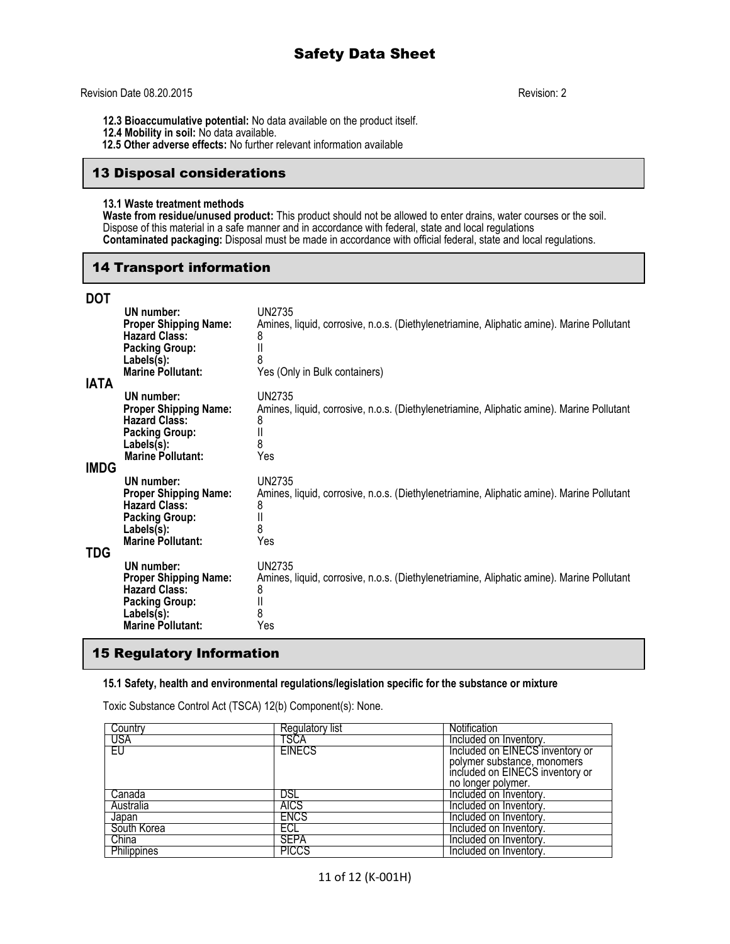#### Revision Date 08.20.2015 Revision: 2

- **12.3 Bioaccumulative potential:** No data available on the product itself.
- **12.4 Mobility in soil:** No data available.
- **12.5 Other adverse effects:** No further relevant information available

#### 13 Disposal considerations

#### **13.1 Waste treatment methods**

**Waste from residue/unused product:** This product should not be allowed to enter drains, water courses or the soil. Dispose of this material in a safe manner and in accordance with federal, state and local regulations **Contaminated packaging:** Disposal must be made in accordance with official federal, state and local regulations.

#### 14 Transport information

|   | ٠       |  |
|---|---------|--|
| I | I<br>۰. |  |

| וטע<br><b>IATA</b> | UN number:<br><b>Proper Shipping Name:</b><br><b>Hazard Class:</b><br><b>Packing Group:</b><br>Labels(s):<br><b>Marine Pollutant:</b>    | UN2735<br>Amines, liquid, corrosive, n.o.s. (Diethylenetriamine, Aliphatic amine). Marine Pollutant<br>8<br>8<br>Yes (Only in Bulk containers) |
|--------------------|------------------------------------------------------------------------------------------------------------------------------------------|------------------------------------------------------------------------------------------------------------------------------------------------|
| <b>IMDG</b>        | UN number:<br><b>Proper Shipping Name:</b><br><b>Hazard Class:</b><br><b>Packing Group:</b><br>Labels(s):<br><b>Marine Pollutant:</b>    | UN2735<br>Amines, liquid, corrosive, n.o.s. (Diethylenetriamine, Aliphatic amine). Marine Pollutant<br>8<br>8<br>Yes                           |
| TDG                | UN number:<br><b>Proper Shipping Name:</b><br><b>Hazard Class:</b><br><b>Packing Group:</b><br>Labels(s):<br><b>Marine Pollutant:</b>    | <b>UN2735</b><br>Amines, liquid, corrosive, n.o.s. (Diethylenetriamine, Aliphatic amine). Marine Pollutant<br>8<br>8<br>Yes                    |
|                    | UN number:<br><b>Proper Shipping Name:</b><br><b>Hazard Class:</b><br><b>Packing Group:</b><br>$Labels(s)$ :<br><b>Marine Pollutant:</b> | <b>UN2735</b><br>Amines, liquid, corrosive, n.o.s. (Diethylenetriamine, Aliphatic amine). Marine Pollutant<br>8<br>8<br>Yes                    |

#### 15 Regulatory Information

#### **15.1 Safety, health and environmental regulations/legislation specific for the substance or mixture**

Toxic Substance Control Act (TSCA) 12(b) Component(s): None.

| Country     | Regulatory list | <b>Notification</b>             |
|-------------|-----------------|---------------------------------|
| USA         | TSCA            | Included on Inventory.          |
| EU.         | <b>EINECS</b>   | Included on EINECS inventory or |
|             |                 | polymer substance, monomers     |
|             |                 | included on EINECS inventory or |
|             |                 | no longer polymer.              |
| Canada      | DSL             | Included on Inventory.          |
| Australia   | <b>AICS</b>     | Included on Inventory.          |
| Japan       | <b>ENCS</b>     | Included on Inventory.          |
| South Korea | ECL             | Included on Inventory.          |
| China       | SEPA            | Included on Inventory.          |
| Philippines | PICCS           | Included on Inventory.          |